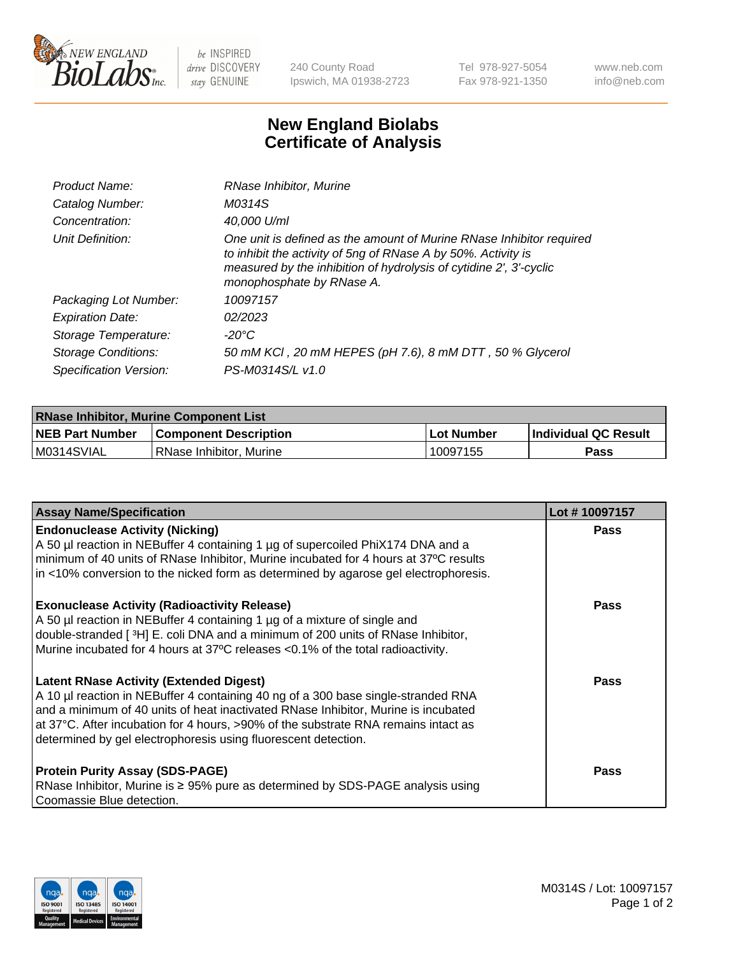

 $be$  INSPIRED drive DISCOVERY stay GENUINE

240 County Road Ipswich, MA 01938-2723 Tel 978-927-5054 Fax 978-921-1350 www.neb.com info@neb.com

## **New England Biolabs Certificate of Analysis**

| Product Name:           | RNase Inhibitor, Murine                                                                                                                                                                                                                  |
|-------------------------|------------------------------------------------------------------------------------------------------------------------------------------------------------------------------------------------------------------------------------------|
| Catalog Number:         | M0314S                                                                                                                                                                                                                                   |
| Concentration:          | 40,000 U/ml                                                                                                                                                                                                                              |
| Unit Definition:        | One unit is defined as the amount of Murine RNase Inhibitor required<br>to inhibit the activity of 5ng of RNase A by 50%. Activity is<br>measured by the inhibition of hydrolysis of cytidine 2', 3'-cyclic<br>monophosphate by RNase A. |
| Packaging Lot Number:   | 10097157                                                                                                                                                                                                                                 |
| <b>Expiration Date:</b> | 02/2023                                                                                                                                                                                                                                  |
| Storage Temperature:    | -20°C                                                                                                                                                                                                                                    |
| Storage Conditions:     | 50 mM KCI, 20 mM HEPES (pH 7.6), 8 mM DTT, 50 % Glycerol                                                                                                                                                                                 |
| Specification Version:  | PS-M0314S/L v1.0                                                                                                                                                                                                                         |

| <b>RNase Inhibitor, Murine Component List</b> |                         |                   |                             |  |
|-----------------------------------------------|-------------------------|-------------------|-----------------------------|--|
| <b>NEB Part Number</b>                        | Component Description_  | <b>Lot Number</b> | <b>Individual QC Result</b> |  |
| M0314SVIAL                                    | RNase Inhibitor, Murine | 10097155          | <b>Pass</b>                 |  |

| <b>Assay Name/Specification</b>                                                                                                                                                                                                                                                                                                                                                   | Lot #10097157 |
|-----------------------------------------------------------------------------------------------------------------------------------------------------------------------------------------------------------------------------------------------------------------------------------------------------------------------------------------------------------------------------------|---------------|
| <b>Endonuclease Activity (Nicking)</b><br>A 50 µl reaction in NEBuffer 4 containing 1 µg of supercoiled PhiX174 DNA and a<br>minimum of 40 units of RNase Inhibitor, Murine incubated for 4 hours at 37°C results<br>in <10% conversion to the nicked form as determined by agarose gel electrophoresis.                                                                          | Pass          |
| <b>Exonuclease Activity (Radioactivity Release)</b><br>A 50 µl reaction in NEBuffer 4 containing 1 µg of a mixture of single and<br>double-stranded [3H] E. coli DNA and a minimum of 200 units of RNase Inhibitor,<br>Murine incubated for 4 hours at 37°C releases <0.1% of the total radioactivity.                                                                            | <b>Pass</b>   |
| <b>Latent RNase Activity (Extended Digest)</b><br>A 10 µl reaction in NEBuffer 4 containing 40 ng of a 300 base single-stranded RNA<br>and a minimum of 40 units of heat inactivated RNase Inhibitor, Murine is incubated<br>at 37°C. After incubation for 4 hours, >90% of the substrate RNA remains intact as<br>determined by gel electrophoresis using fluorescent detection. | <b>Pass</b>   |
| <b>Protein Purity Assay (SDS-PAGE)</b><br>RNase Inhibitor, Murine is ≥ 95% pure as determined by SDS-PAGE analysis using<br>Coomassie Blue detection.                                                                                                                                                                                                                             | <b>Pass</b>   |